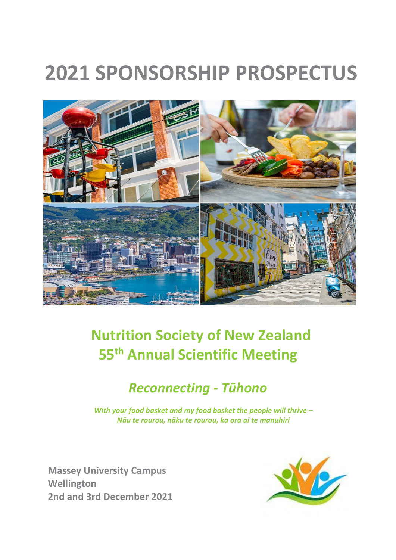# **2021 SPONSORSHIP PROSPECTUS**



# **Nutrition Society of New Zealand 55 th Annual Scientific Meeting**

# *Reconnecting - Tūhono*

*With your food basket and my food basket the people will thrive – Nāu te rourou, nāku te rourou, ka ora ai te manuhiri*

**Massey University Campus Wellington 2nd and 3rd December 2021**

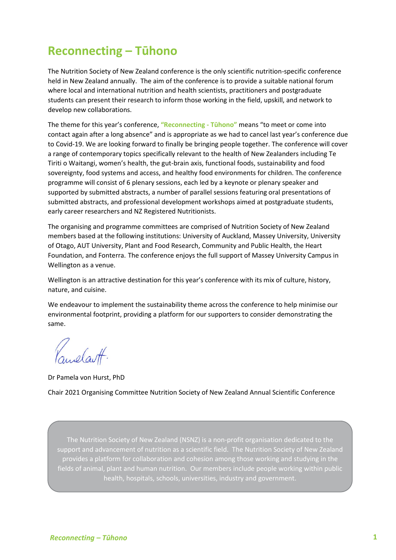# **Reconnecting – Tūhono**

The Nutrition Society of New Zealand conference is the only scientific nutrition-specific conference held in New Zealand annually. The aim of the conference is to provide a suitable national forum where local and international nutrition and health scientists, practitioners and postgraduate students can present their research to inform those working in the field, upskill, and network to develop new collaborations.

The theme for this year's conference, **"Reconnecting - Tūhono"** means "to meet or come into contact again after a long absence" and is appropriate as we had to cancel last year's conference due to Covid-19. We are looking forward to finally be bringing people together. The conference will cover a range of contemporary topics specifically relevant to the health of New Zealanders including Te Tiriti o Waitangi, women's health, the gut-brain axis, functional foods, sustainability and food sovereignty, food systems and access, and healthy food environments for children. The conference programme will consist of 6 plenary sessions, each led by a keynote or plenary speaker and supported by submitted abstracts, a number of parallel sessions featuring oral presentations of submitted abstracts, and professional development workshops aimed at postgraduate students, early career researchers and NZ Registered Nutritionists.

The organising and programme committees are comprised of Nutrition Society of New Zealand members based at the following institutions: University of Auckland, Massey University, University of Otago, AUT University, Plant and Food Research, Community and Public Health, the Heart Foundation, and Fonterra. The conference enjoys the full support of Massey University Campus in Wellington as a venue.

Wellington is an attractive destination for this year's conference with its mix of culture, history, nature, and cuisine.

We endeavour to implement the sustainability theme across the conference to help minimise our environmental footprint, providing a platform for our supporters to consider demonstrating the same.

anelastt.

Dr Pamela von Hurst, PhD

Chair 2021 Organising Committee Nutrition Society of New Zealand Annual Scientific Conference

The Nutrition Society of New Zealand (NSNZ) is a non-profit organisation dedicated to the support and advancement of nutrition as a scientific field. The Nutrition Society of New Zealand provides a platform for collaboration and cohesion among those working and studying in the fields of animal, plant and human nutrition. Our members include people working within public health, hospitals, schools, universities, industry and government.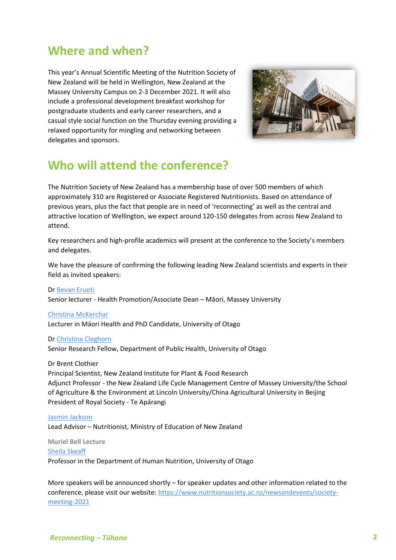# **Where and when?**

This year's Annual Scientific Meeting of the Nutrition Society of New Zealand will be held in Wellington, New Zealand at the Massey University Campus on 2-3 December 2021. It will also include a professional development breakfast workshop for postgraduate students and early career researchers, and a casual style social function on the Thursday evening providing a relaxed opportunity for mingling and networking between delegates and sponsors.



# **Who will attend the conference?**

The Nutrition Society of New Zealand has a membership base of over 500 members of which approximately 310 are Registered or Associate Registered Nutritionists. Based on attendance of previous years, plus the fact that people are in need of 'reconnecting' as well as the central and attractive location of Wellington, we expect around 120-150 delegates from across New Zealand to attend.

Key researchers and high-profile academics will present at the conference to the Society's members and delegates.

We have the pleasure of confirming the following leading New Zealand scientists and experts in their field as invited speakers:

Dr [Bevan Erueti](https://www.massey.ac.nz/massey/expertise/profile.cfm?stref=831630) Senior lecturer - Health Promotion/Associate Dean – Māori, Massey University

[Christina McKerchar](https://www.otago.ac.nz/christchurch/departments/populationhealth/people/otago045430.html)

Lecturer in Māori Health and PhD Candidate, University of Otago

Dr [Christina Cleghorn](https://www.otago.ac.nz/wellington/departments/publichealth/staff/otago072137.html)

Senior Research Fellow, Department of Public Health, University of Otago

Dr Brent Clothier

Principal Scientist, New Zealand Institute for Plant & Food Research Adjunct Professor - the New Zealand Life Cycle Management Centre of Massey University/the School of Agriculture & the Environment at Lincoln University/China Agricultural University in Beijing President of Royal Society - Te Apārangi

#### [Jasmin Jackson](https://nz.linkedin.com/in/jasmin-jackson-99303b25)

Lead Advisor – Nutritionist, Ministry of Education of New Zealand

**Muriel Bell Lecture** [Sheila Skeaff](https://www.otago.ac.nz/humannutrition/staff/otago063239.html) Professor in the Department of Human Nutrition, University of Otago

More speakers will be announced shortly – for speaker updates and other information related to the conference, please visit our website[: https://www.nutritionsociety.ac.nz/newsandevents/society](https://www.nutritionsociety.ac.nz/newsandevents/society-meeting-2021)[meeting-2021](https://www.nutritionsociety.ac.nz/newsandevents/society-meeting-2021)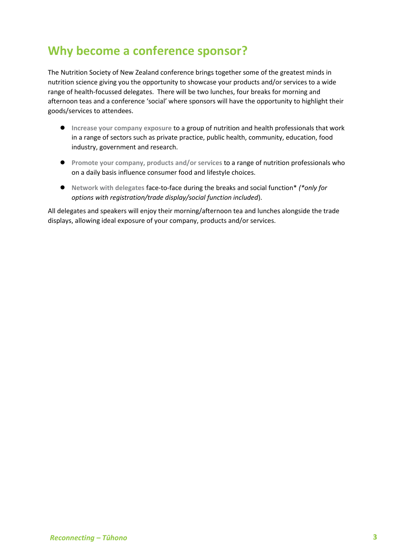# **Why become a conference sponsor?**

The Nutrition Society of New Zealand conference brings together some of the greatest minds in nutrition science giving you the opportunity to showcase your products and/or services to a wide range of health-focussed delegates. There will be two lunches, four breaks for morning and afternoon teas and a conference 'social' where sponsors will have the opportunity to highlight their goods/services to attendees.

- **● Increase your company exposure** to a group of nutrition and health professionals that work in a range of sectors such as private practice, public health, community, education, food industry, government and research.
- **● Promote your company, products and/or services** to a range of nutrition professionals who on a daily basis influence consumer food and lifestyle choices.
- **● Network with delegates** face-to-face during the breaks and social function\* *(\*only for options with registration/trade display/social function included*).

All delegates and speakers will enjoy their morning/afternoon tea and lunches alongside the trade displays, allowing ideal exposure of your company, products and/or services.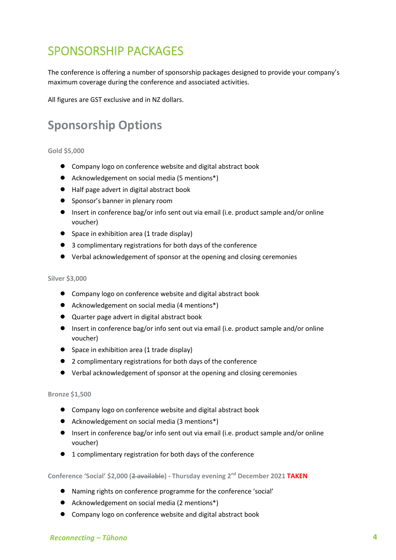# SPONSORSHIP PACKAGES

The conference is offering a number of sponsorship packages designed to provide your company's maximum coverage during the conference and associated activities.

All figures are GST exclusive and in NZ dollars.

# **Sponsorship Options**

#### **Gold \$5,000**

- **●** Company logo on conference website and digital abstract book
- **●** Acknowledgement on social media (5 mentions\*)
- **●** Half page advert in digital abstract book
- **●** Sponsor's banner in plenary room
- **●** Insert in conference bag/or info sent out via email (i.e. product sample and/or online voucher)
- Space in exhibition area (1 trade display)
- **●** 3 complimentary registrations for both days of the conference
- **●** Verbal acknowledgement of sponsor at the opening and closing ceremonies

#### **Silver \$3,000**

- **●** Company logo on conference website and digital abstract book
- **●** Acknowledgement on social media (4 mentions\*)
- **●** Quarter page advert in digital abstract book
- **●** Insert in conference bag/or info sent out via email (i.e. product sample and/or online voucher)
- Space in exhibition area (1 trade display)
- **●** 2 complimentary registrations for both days of the conference
- **●** Verbal acknowledgement of sponsor at the opening and closing ceremonies

#### **Bronze \$1,500**

- **●** Company logo on conference website and digital abstract book
- **●** Acknowledgement on social media (3 mentions\*)
- **●** Insert in conference bag/or info sent out via email (i.e. product sample and/or online voucher)
- **●** 1 complimentary registration for both days of the conference

#### **Conference 'Social' \$2,000 (2 available) - Thursday evening 2nd December 2021 TAKEN**

- **●** Naming rights on conference programme for the conference 'social'
- **●** Acknowledgement on social media (2 mentions\*)
- **●** Company logo on conference website and digital abstract book

### *Reconnecting – Tūhono* **4**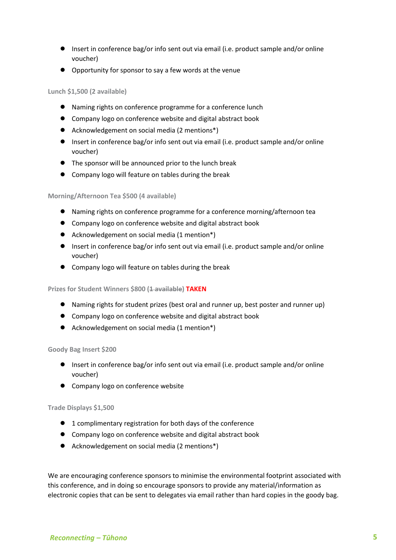- **●** Insert in conference bag/or info sent out via email (i.e. product sample and/or online voucher)
- **●** Opportunity for sponsor to say a few words at the venue

### **Lunch \$1,500 (2 available)**

- **●** Naming rights on conference programme for a conference lunch
- **●** Company logo on conference website and digital abstract book
- **●** Acknowledgement on social media (2 mentions\*)
- **●** Insert in conference bag/or info sent out via email (i.e. product sample and/or online voucher)
- **●** The sponsor will be announced prior to the lunch break
- **●** Company logo will feature on tables during the break

### **Morning/Afternoon Tea \$500 (4 available)**

- **●** Naming rights on conference programme for a conference morning/afternoon tea
- **●** Company logo on conference website and digital abstract book
- **●** Acknowledgement on social media (1 mention\*)
- **●** Insert in conference bag/or info sent out via email (i.e. product sample and/or online voucher)
- **●** Company logo will feature on tables during the break

### **Prizes for Student Winners \$800 (1 available) TAKEN**

- **●** Naming rights for student prizes (best oral and runner up, best poster and runner up)
- **●** Company logo on conference website and digital abstract book
- **●** Acknowledgement on social media (1 mention\*)

#### **Goody Bag Insert \$200**

- **●** Insert in conference bag/or info sent out via email (i.e. product sample and/or online voucher)
- **●** Company logo on conference website

#### **Trade Displays \$1,500**

- **●** 1 complimentary registration for both days of the conference
- **●** Company logo on conference website and digital abstract book
- **●** Acknowledgement on social media (2 mentions\*)

We are encouraging conference sponsors to minimise the environmental footprint associated with this conference, and in doing so encourage sponsors to provide any material/information as electronic copies that can be sent to delegates via email rather than hard copies in the goody bag.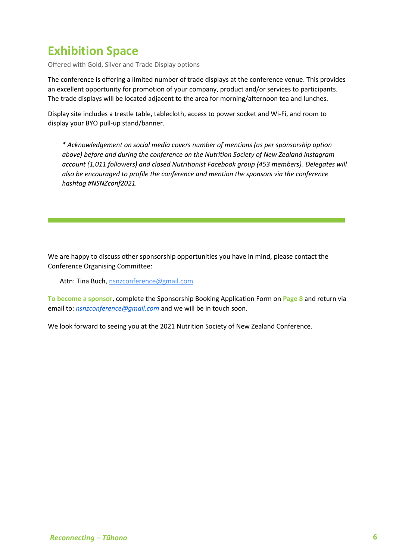# **Exhibition Space**

Offered with Gold, Silver and Trade Display options

The conference is offering a limited number of trade displays at the conference venue. This provides an excellent opportunity for promotion of your company, product and/or services to participants. The trade displays will be located adjacent to the area for morning/afternoon tea and lunches.

Display site includes a trestle table, tablecloth, access to power socket and Wi-Fi, and room to display your BYO pull-up stand/banner.

*\* Acknowledgement on social media covers number of mentions (as per sponsorship option above) before and during the conference on the Nutrition Society of New Zealand Instagram account (1,011 followers) and closed Nutritionist Facebook group (453 members). Delegates will also be encouraged to profile the conference and mention the sponsors via the conference hashtag #NSNZconf2021.*

We are happy to discuss other sponsorship opportunities you have in mind, please contact the Conference Organising Committee:

Attn: Tina Buch, [nsnzconference@gmail.com](mailto:nsnzconference@gmail.com)

**To become a sponsor**, complete the Sponsorship Booking Application Form on **Page 8** and return via email to: *nsnzconference@gmail.com* and we will be in touch soon.

We look forward to seeing you at the 2021 Nutrition Society of New Zealand Conference.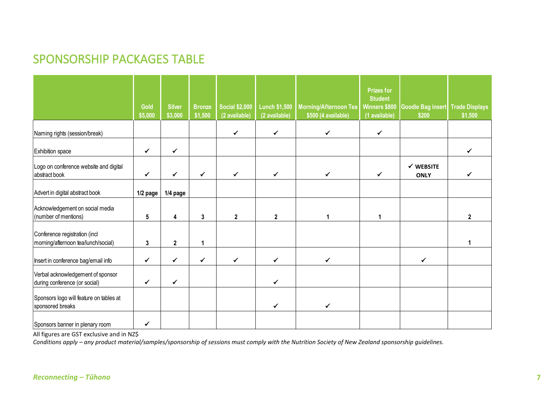# SPONSORSHIP PACKAGES TABLE

|                                                                      |                 |                          |                          |                                        |                                       |                                                     | <b>Prizes for</b>                                |                                     |                                  |
|----------------------------------------------------------------------|-----------------|--------------------------|--------------------------|----------------------------------------|---------------------------------------|-----------------------------------------------------|--------------------------------------------------|-------------------------------------|----------------------------------|
|                                                                      | Gold<br>\$5,000 | <b>Silver</b><br>\$3,000 | <b>Bronze</b><br>\$1,500 | <b>Social \$2,000</b><br>(2 available) | <b>Lunch \$1,500</b><br>(2 available) | <b>Morning/Afternoon Tea</b><br>\$500 (4 available) | <b>Student</b><br>Winners \$800<br>(1 available) | <b>Goodie Bag insert</b><br>\$200   | <b>Trade Displays</b><br>\$1,500 |
| Naming rights (session/break)                                        |                 |                          |                          | $\checkmark$                           | $\checkmark$                          | $\checkmark$                                        | $\checkmark$                                     |                                     |                                  |
| Exhibition space                                                     | ✔               | $\checkmark$             |                          |                                        |                                       |                                                     |                                                  |                                     | ✓                                |
| Logo on conference website and digital<br>abstract book              | ✓               | ✓                        | $\checkmark$             | ✓                                      | $\checkmark$                          | $\checkmark$                                        | $\checkmark$                                     | $\checkmark$ WEBSITE<br><b>ONLY</b> | ✓                                |
| Advert in digital abstract book                                      | 1/2 page        | 1/4 page                 |                          |                                        |                                       |                                                     |                                                  |                                     |                                  |
| Acknowledgement on social media<br>(number of mentions)              | $5\phantom{.0}$ | 4                        | 3                        | $\mathbf{2}$                           | $\overline{2}$                        |                                                     | 1                                                |                                     | $\mathbf{2}$                     |
| Conference registration (incl<br>morning/afternoon tea/lunch/social) | 3               | $\mathbf 2$              | 1                        |                                        |                                       |                                                     |                                                  |                                     |                                  |
| Insert in conference bag/email info                                  | ✓               | $\checkmark$             | ✔                        | ✓                                      | ✓                                     | ✓                                                   |                                                  | ✔                                   |                                  |
| Verbal acknowledgement of sponsor<br>during conference (or social)   | $\checkmark$    | $\checkmark$             |                          |                                        | ✓                                     |                                                     |                                                  |                                     |                                  |
| Sponsors logo will feature on tables at<br>sponsored breaks          |                 |                          |                          |                                        | $\checkmark$                          | $\checkmark$                                        |                                                  |                                     |                                  |
| Sponsors banner in plenary room                                      | ✓               |                          |                          |                                        |                                       |                                                     |                                                  |                                     |                                  |

All figures are GST exclusive and in NZ\$

*Conditions apply – any product material/samples/sponsorship of sessions must comply with the Nutrition Society of New Zealand sponsorship guidelines.*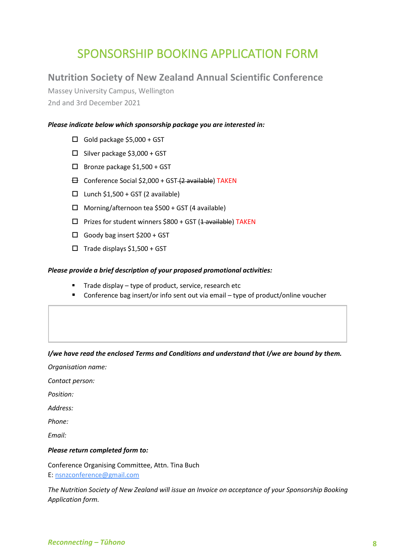# SPONSORSHIP BOOKING APPLICATION FORM

# **Nutrition Society of New Zealand Annual Scientific Conference**

Massey University Campus, Wellington 2nd and 3rd December 2021

# *Please indicate below which sponsorship package you are interested in:*

- $\Box$  Gold package \$5,000 + GST
- $\square$  Silver package \$3,000 + GST
- □ Bronze package \$1,500 + GST
- $\boxminus$  Conference Social \$2,000 + GST  $(2 \text{ available})$  TAKEN
- $\Box$  Lunch \$1,500 + GST (2 available)
- $\Box$  Morning/afternoon tea \$500 + GST (4 available)
- $\square$  Prizes for student winners \$800 + GST (1 available) TAKEN
- $\Box$  Goody bag insert \$200 + GST
- $\square$  Trade displays \$1,500 + GST

### *Please provide a brief description of your proposed promotional activities:*

- Trade display type of product, service, research etc
- Conference bag insert/or info sent out via email type of product/online voucher

### *I/we have read the enclosed Terms and Conditions and understand that I/we are bound by them.*

*Organisation name:*

*Contact person:*

*Position:*

*Address:*

*Phone:*

*Email:*

### *Please return completed form to:*

Conference Organising Committee, Attn. Tina Buch E: [nsnzconference@gmail.com](mailto:nsnzconference@gmail.com)

*The Nutrition Society of New Zealand will issue an Invoice on acceptance of your Sponsorship Booking Application form.*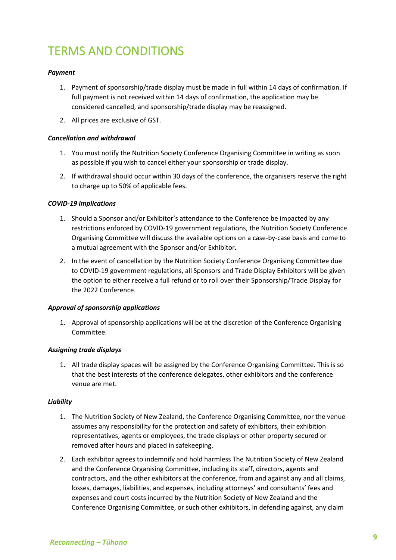# TERMS AND CONDITIONS

# *Payment*

- 1. Payment of sponsorship/trade display must be made in full within 14 days of confirmation. If full payment is not received within 14 days of confirmation, the application may be considered cancelled, and sponsorship/trade display may be reassigned.
- 2. All prices are exclusive of GST.

## *Cancellation and withdrawal*

- 1. You must notify the Nutrition Society Conference Organising Committee in writing as soon as possible if you wish to cancel either your sponsorship or trade display.
- 2. If withdrawal should occur within 30 days of the conference, the organisers reserve the right to charge up to 50% of applicable fees.

## *COVID-19 implications*

- 1. Should a Sponsor and/or Exhibitor's attendance to the Conference be impacted by any restrictions enforced by COVID-19 government regulations, the Nutrition Society Conference Organising Committee will discuss the available options on a case-by-case basis and come to a mutual agreement with the Sponsor and/or Exhibitor*.*
- 2. In the event of cancellation by the Nutrition Society Conference Organising Committee due to COVID-19 government regulations, all Sponsors and Trade Display Exhibitors will be given the option to either receive a full refund or to roll over their Sponsorship/Trade Display for the 2022 Conference.

### *Approval of sponsorship applications*

1. Approval of sponsorship applications will be at the discretion of the Conference Organising Committee.

### *Assigning trade displays*

1. All trade display spaces will be assigned by the Conference Organising Committee. This is so that the best interests of the conference delegates, other exhibitors and the conference venue are met.

### *Liability*

- 1. The Nutrition Society of New Zealand, the Conference Organising Committee, nor the venue assumes any responsibility for the protection and safety of exhibitors, their exhibition representatives, agents or employees, the trade displays or other property secured or removed after hours and placed in safekeeping.
- 2. Each exhibitor agrees to indemnify and hold harmless The Nutrition Society of New Zealand and the Conference Organising Committee, including its staff, directors, agents and contractors, and the other exhibitors at the conference, from and against any and all claims, losses, damages, liabilities, and expenses, including attorneys' and consultants' fees and expenses and court costs incurred by the Nutrition Society of New Zealand and the Conference Organising Committee, or such other exhibitors, in defending against, any claim